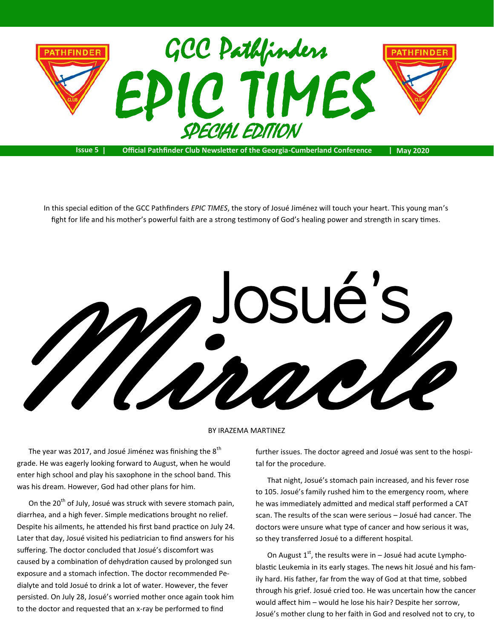

**Issue 5 | Official Pathfinder Club Newsletter of the Georgia-Cumberland Conference | May 2020**

In this special edition of the GCC Pathfinders *EPIC TIMES*, the story of Josué Jiménez will touch your heart. This young man's fight for life and his mother's powerful faith are a strong testimony of God's healing power and strength in scary times.



## BY IRAZEMA MARTINEZ

The year was 2017, and Josué Jiménez was finishing the  $8^{th}$ grade. He was eagerly looking forward to August, when he would enter high school and play his saxophone in the school band. This was his dream. However, God had other plans for him.

On the 20<sup>th</sup> of July, Josué was struck with severe stomach pain, diarrhea, and a high fever. Simple medications brought no relief. Despite his ailments, he attended his first band practice on July 24. Later that day, Josué visited his pediatrician to find answers for his suffering. The doctor concluded that Josué's discomfort was caused by a combination of dehydration caused by prolonged sun exposure and a stomach infection. The doctor recommended Pedialyte and told Josué to drink a lot of water. However, the fever persisted. On July 28, Josué's worried mother once again took him to the doctor and requested that an x-ray be performed to find

further issues. The doctor agreed and Josué was sent to the hospital for the procedure.

That night, Josué's stomach pain increased, and his fever rose to 105. Josué's family rushed him to the emergency room, where he was immediately admitted and medical staff performed a CAT scan. The results of the scan were serious – Josué had cancer. The doctors were unsure what type of cancer and how serious it was, so they transferred Josué to a different hospital.

On August  $1<sup>st</sup>$ , the results were in – Josué had acute Lymphoblastic Leukemia in its early stages. The news hit Josué and his family hard. His father, far from the way of God at that time, sobbed through his grief. Josué cried too. He was uncertain how the cancer would affect him – would he lose his hair? Despite her sorrow, Josué's mother clung to her faith in God and resolved not to cry, to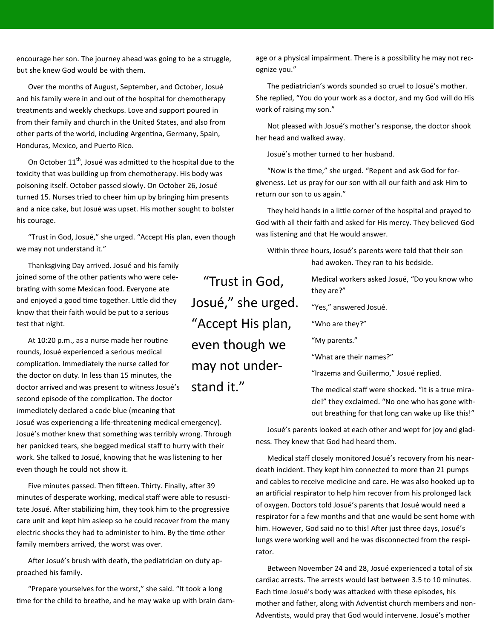encourage her son. The journey ahead was going to be a struggle, but she knew God would be with them.

Over the months of August, September, and October, Josué and his family were in and out of the hospital for chemotherapy treatments and weekly checkups. Love and support poured in from their family and church in the United States, and also from other parts of the world, including Argentina, Germany, Spain, Honduras, Mexico, and Puerto Rico.

On October  $11<sup>th</sup>$ , Josué was admitted to the hospital due to the toxicity that was building up from chemotherapy. His body was poisoning itself. October passed slowly. On October 26, Josué turned 15. Nurses tried to cheer him up by bringing him presents and a nice cake, but Josué was upset. His mother sought to bolster his courage.

"Trust in God, Josué," she urged. "Accept His plan, even though we may not understand it."

Thanksgiving Day arrived. Josué and his family joined some of the other patients who were celebrating with some Mexican food. Everyone ate and enjoyed a good time together. Little did they know that their faith would be put to a serious test that night.

At 10:20 p.m., as a nurse made her routine rounds, Josué experienced a serious medical complication. Immediately the nurse called for the doctor on duty. In less than 15 minutes, the doctor arrived and was present to witness Josué's second episode of the complication. The doctor immediately declared a code blue (meaning that

Josué was experiencing a life-threatening medical emergency). Josué's mother knew that something was terribly wrong. Through her panicked tears, she begged medical staff to hurry with their work. She talked to Josué, knowing that he was listening to her even though he could not show it.

Five minutes passed. Then fifteen. Thirty. Finally, after 39 minutes of desperate working, medical staff were able to resuscitate Josué. After stabilizing him, they took him to the progressive care unit and kept him asleep so he could recover from the many electric shocks they had to administer to him. By the time other family members arrived, the worst was over.

After Josué's brush with death, the pediatrician on duty approached his family.

"Prepare yourselves for the worst," she said. "It took a long time for the child to breathe, and he may wake up with brain dam-

"Trust in God, Josué," she urged. "Accept His plan, even though we may not understand it."

age or a physical impairment. There is a possibility he may not recognize you."

The pediatrician's words sounded so cruel to Josué's mother. She replied, "You do your work as a doctor, and my God will do His work of raising my son."

Not pleased with Josué's mother's response, the doctor shook her head and walked away.

Josué's mother turned to her husband.

"Now is the time," she urged. "Repent and ask God for forgiveness. Let us pray for our son with all our faith and ask Him to return our son to us again."

They held hands in a little corner of the hospital and prayed to God with all their faith and asked for His mercy. They believed God was listening and that He would answer.

Within three hours, Josué's parents were told that their son had awoken. They ran to his bedside.

> Medical workers asked Josué, "Do you know who they are?"

"Yes," answered Josué.

"Who are they?"

"My parents."

"What are their names?"

"Irazema and Guillermo," Josué replied.

The medical staff were shocked. "It is a true miracle!" they exclaimed. "No one who has gone without breathing for that long can wake up like this!"

Josué's parents looked at each other and wept for joy and gladness. They knew that God had heard them.

Medical staff closely monitored Josué's recovery from his neardeath incident. They kept him connected to more than 21 pumps and cables to receive medicine and care. He was also hooked up to an artificial respirator to help him recover from his prolonged lack of oxygen. Doctors told Josué's parents that Josué would need a respirator for a few months and that one would be sent home with him. However, God said no to this! After just three days, Josué's lungs were working well and he was disconnected from the respirator.

Between November 24 and 28, Josué experienced a total of six cardiac arrests. The arrests would last between 3.5 to 10 minutes. Each time Josué's body was attacked with these episodes, his mother and father, along with Adventist church members and non-Adventists, would pray that God would intervene. Josué's mother